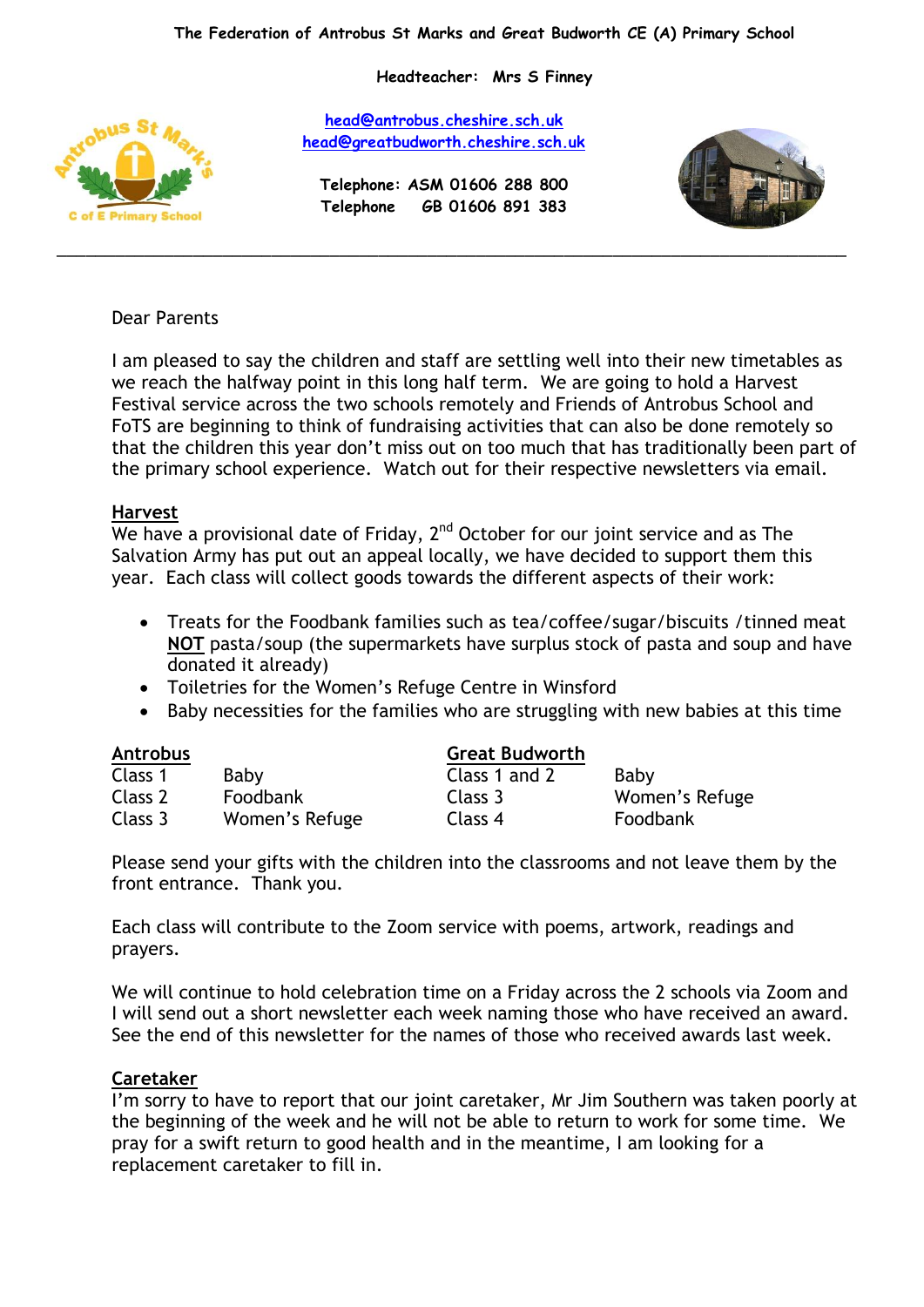**Headteacher: Mrs S Finney**



**[head@antrobus.cheshire.sch.uk](mailto:head@antrobus-st-marks.cheshire.sch.uk) [head@greatbudworth.cheshire.sch.uk](mailto:head@greatbudworth.cheshire.sch.uk)**

**Telephone: ASM 01606 288 800 Telephone GB 01606 891 383**

\_\_\_\_\_\_\_\_\_\_\_\_\_\_\_\_\_\_\_\_\_\_\_\_\_\_\_\_\_\_\_\_\_\_\_\_\_\_\_\_\_\_\_\_\_\_\_\_\_\_\_\_\_\_\_\_\_\_\_\_\_\_\_\_\_\_\_\_\_\_\_\_\_\_\_\_\_\_\_\_\_



# Dear Parents

I am pleased to say the children and staff are settling well into their new timetables as we reach the halfway point in this long half term. We are going to hold a Harvest Festival service across the two schools remotely and Friends of Antrobus School and FoTS are beginning to think of fundraising activities that can also be done remotely so that the children this year don't miss out on too much that has traditionally been part of the primary school experience. Watch out for their respective newsletters via email.

### **Harvest**

We have a provisional date of Friday,  $2^{nd}$  October for our joint service and as The Salvation Army has put out an appeal locally, we have decided to support them this year. Each class will collect goods towards the different aspects of their work:

- Treats for the Foodbank families such as tea/coffee/sugar/biscuits /tinned meat **NOT** pasta/soup (the supermarkets have surplus stock of pasta and soup and have donated it already)
- Toiletries for the Women's Refuge Centre in Winsford
- Baby necessities for the families who are struggling with new babies at this time

| <b>Antrobus</b> |                | <b>Great Budworth</b> |                |
|-----------------|----------------|-----------------------|----------------|
| Class 1         | Baby           | Class 1 and 2         | Baby           |
| Class 2         | Foodbank       | Class 3               | Women's Refuge |
| Class 3         | Women's Refuge | Class 4               | Foodbank       |

Please send your gifts with the children into the classrooms and not leave them by the front entrance. Thank you.

Each class will contribute to the Zoom service with poems, artwork, readings and prayers.

We will continue to hold celebration time on a Friday across the 2 schools via Zoom and I will send out a short newsletter each week naming those who have received an award. See the end of this newsletter for the names of those who received awards last week.

# **Caretaker**

I'm sorry to have to report that our joint caretaker, Mr Jim Southern was taken poorly at the beginning of the week and he will not be able to return to work for some time. We pray for a swift return to good health and in the meantime, I am looking for a replacement caretaker to fill in.